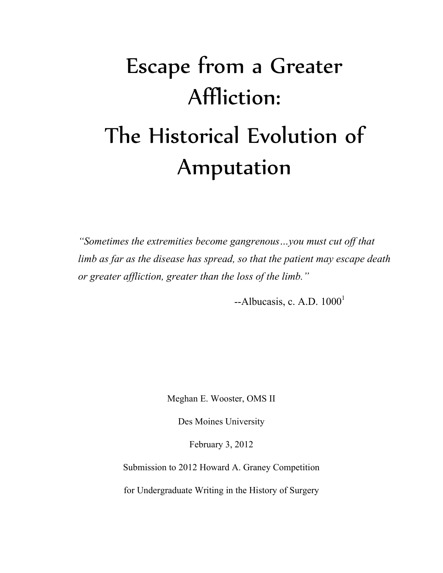# Escape from a Greater Affliction: The Historical Evolution of Amputation

*"Sometimes the extremities become gangrenous…you must cut off that limb as far as the disease has spread, so that the patient may escape death or greater affliction, greater than the loss of the limb."*

 $-A1$ bucasis, c. A.D.  $1000<sup>1</sup>$ 

Meghan E. Wooster, OMS II

Des Moines University

February 3, 2012

Submission to 2012 Howard A. Graney Competition

for Undergraduate Writing in the History of Surgery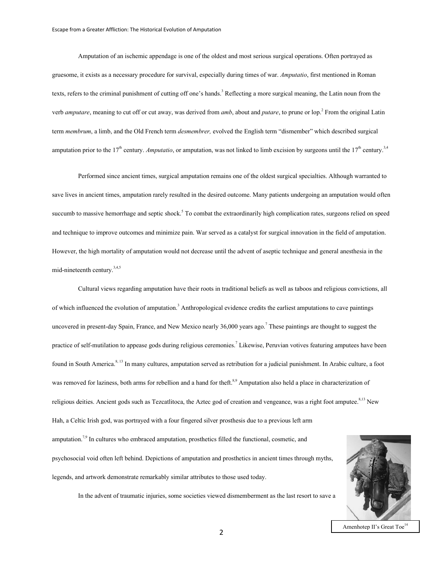Amputation of an ischemic appendage is one of the oldest and most serious surgical operations. Often portrayed as gruesome, it exists as a necessary procedure for survival, especially during times of war. *Amputatio*, first mentioned in Roman texts, refers to the criminal punishment of cutting off one's hands. <sup>3</sup> Reflecting a more surgical meaning, the Latin noun from the verb *amputare*, meaning to cut off or cut away, was derived from *amb*, about and *putare*, to prune or lop.<sup>2</sup> From the original Latin term *membrum*, a limb, and the Old French term *desmembrer,* evolved the English term "dismember" which described surgical amputation prior to the 17<sup>th</sup> century. *Amputatio*, or amputation, was not linked to limb excision by surgeons until the  $17<sup>th</sup>$  century.<sup>3,4</sup>

Performed since ancient times, surgical amputation remains one of the oldest surgical specialties. Although warranted to save lives in ancient times, amputation rarely resulted in the desired outcome. Many patients undergoing an amputation would often succumb to massive hemorrhage and septic shock.<sup>5</sup> To combat the extraordinarily high complication rates, surgeons relied on speed and technique to improve outcomes and minimize pain. War served as a catalyst for surgical innovation in the field of amputation. However, the high mortality of amputation would not decrease until the advent of aseptic technique and general anesthesia in the mid-nineteenth century.3,4,5

Cultural views regarding amputation have their roots in traditional beliefs as well as taboos and religious convictions, all of which influenced the evolution of amputation.<sup>3</sup> Anthropological evidence credits the earliest amputations to cave paintings uncovered in present-day Spain, France, and New Mexico nearly 36,000 years ago.<sup>7</sup> These paintings are thought to suggest the practice of self-mutilation to appease gods during religious ceremonies.<sup>7</sup> Likewise, Peruvian votives featuring amputees have been found in South America.<sup>8, 13</sup> In many cultures, amputation served as retribution for a judicial punishment. In Arabic culture, a foot was removed for laziness, both arms for rebellion and a hand for theft.<sup>8,9</sup> Amputation also held a place in characterization of religious deities. Ancient gods such as Tezcatlitoca, the Aztec god of creation and vengeance, was a right foot amputee. $8,13$  New Hah, a Celtic Irish god, was portrayed with a four fingered silver prosthesis due to a previous left arm amputation.<sup>7,9</sup> In cultures who embraced amputation, prosthetics filled the functional, cosmetic, and psychosocial void often left behind. Depictions of amputation and prosthetics in ancient times through myths, legends, and artwork demonstrate remarkably similar attributes to those used today.



In the advent of traumatic injuries, some societies viewed dismemberment as the last resort to save a

Amenhotep II's Great Toe<sup>14</sup>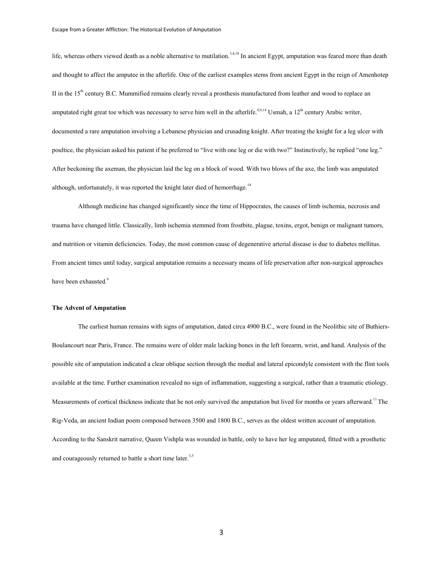life, whereas others viewed death as a noble alternative to mutilation.<sup>3,4,18</sup> In ancient Egypt, amputation was feared more than death and thought to affect the amputee in the afterlife. One of the earliest examples stems from ancient Egypt in the reign of Amenhotep II in the  $15<sup>th</sup>$  century B.C. Mummified remains clearly reveal a prosthesis manufactured from leather and wood to replace an amputated right great toe which was necessary to serve him well in the afterlife.<sup>4,9,14</sup> Usmah, a  $12<sup>th</sup>$  century Arabic writer, documented a rare amputation involving a Lebanese physician and crusading knight. After treating the knight for a leg ulcer with poultice, the physician asked his patient if he preferred to "live with one leg or die with two?" Instinctively, he replied "one leg." After beckoning the axeman, the physician laid the leg on a block of wood. With two blows of the axe, the limb was amputated although, unfortunately, it was reported the knight later died of hemorrhage.<sup>14</sup>

Although medicine has changed significantly since the time of Hippocrates, the causes of limb ischemia, necrosis and trauma have changed little. Classically, limb ischemia stemmed from frostbite, plague, toxins, ergot, benign or malignant tumors, and nutrition or vitamin deficiencies. Today, the most common cause of degenerative arterial disease is due to diabetes mellitus. From ancient times until today, surgical amputation remains a necessary means of life preservation after non-surgical approaches have been exhausted.<sup>9</sup>

## **The Advent of Amputation**

The earliest human remains with signs of amputation, dated circa 4900 B.C., were found in the Neolithic site of Buthiers-Boulancourt near Paris, France. The remains were of older male lacking bones in the left forearm, wrist, and hand. Analysis of the possible site of amputation indicated a clear oblique section through the medial and lateral epicondyle consistent with the flint tools available at the time. Further examination revealed no sign of inflammation, suggesting a surgical, rather than a traumatic etiology. Measurements of cortical thickness indicate that he not only survived the amputation but lived for months or years afterward.<sup>11</sup> The Rig-Veda, an ancient Indian poem composed between 3500 and 1800 B.C., serves as the oldest written account of amputation. According to the Sanskrit narrative, Queen Vishpla was wounded in battle, only to have her leg amputated, fitted with a prosthetic and courageously returned to battle a short time later.<sup>3,5</sup>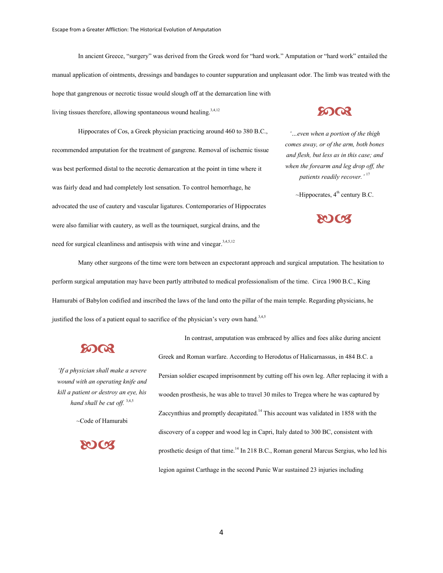In ancient Greece, "surgery" was derived from the Greek word for "hard work." Amputation or "hard work" entailed the manual application of ointments, dressings and bandages to counter suppuration and unpleasant odor. The limb was treated with the hope that gangrenous or necrotic tissue would slough off at the demarcation line with living tissues therefore, allowing spontaneous wound healing.<sup>3,4,12</sup>

Hippocrates of Cos, a Greek physician practicing around 460 to 380 B.C., recommended amputation for the treatment of gangrene. Removal of ischemic tissue was best performed distal to the necrotic demarcation at the point in time where it was fairly dead and had completely lost sensation. To control hemorrhage, he advocated the use of cautery and vascular ligatures. Contemporaries of Hippocrates were also familiar with cautery, as well as the tourniquet, surgical drains, and the need for surgical cleanliness and antisepsis with wine and vinegar.<sup>3,4,5,12</sup>

## **8003**

*'…even when a portion of the thigh comes away, or of the arm, both bones and flesh, but less as in this case; and when the forearm and leg drop off, the patients readily recover.'* <sup>17</sup>

 $\sim$ Hippocrates,  $4^{\text{th}}$  century B.C.



Many other surgeons of the time were torn between an expectorant approach and surgical amputation. The hesitation to perform surgical amputation may have been partly attributed to medical professionalism of the time. Circa 1900 B.C., King Hamurabi of Babylon codified and inscribed the laws of the land onto the pillar of the main temple. Regarding physicians, he justified the loss of a patient equal to sacrifice of the physician's very own hand.<sup>3,4,5</sup>

# **SO QR**

*'If a physician shall make a severe wound with an operating knife and kill a patient or destroy an eye, his hand shall be cut off.* 3,4,5

 $\sim$ Code of Hamurabi

 $\Omega$ CX

In contrast, amputation was embraced by allies and foes alike during ancient Greek and Roman warfare. According to Herodotus of Halicarnassus, in 484 B.C. a Persian soldier escaped imprisonment by cutting off his own leg. After replacing it with a wooden prosthesis, he was able to travel 30 miles to Tregea where he was captured by Zaccynthius and promptly decapitated.<sup>14</sup> This account was validated in 1858 with the discovery of a copper and wood leg in Capri, Italy dated to 300 BC, consistent with prosthetic design of that time.<sup>14</sup> In 218 B.C., Roman general Marcus Sergius, who led his legion against Carthage in the second Punic War sustained 23 injuries including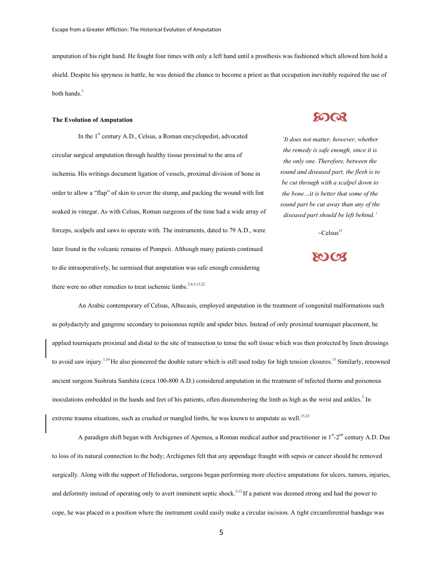amputation of his right hand. He fought four times with only a left hand until a prosthesis was fashioned which allowed him hold a shield. Despite his spryness in battle, he was denied the chance to become a priest as that occupation inevitably required the use of both hands.<sup>3</sup>

#### **The Evolution of Amputation**

In the 1<sup>st</sup> century A.D., Celsus, a Roman encyclopedist, advocated circular surgical amputation through healthy tissue proximal to the area of ischemia. His writings document ligation of vessels, proximal division of bone in order to allow a "flap" of skin to cover the stump, and packing the wound with lint soaked in vinegar. As with Celsus, Roman surgeons of the time had a wide array of forceps, scalpels and saws to operate with. The instruments, dated to 79 A.D., were later found in the volcanic remains of Pompeii. Although many patients continued to die intraoperatively, he surmised that amputation was safe enough considering there were no other remedies to treat ischemic limbs.<sup>2,4,5,12,22</sup>

**20 QR** 

*'It does not matter, however, whether the remedy is safe enough, since it is the only one. Therefore, between the sound and diseased part, the flesh is to be cut through with a scalpel down to the bone…it is better that some of the sound part be cut away than any of the diseased part should be left behind.'*

 $\sim$ Celsus<sup>15</sup>

**ROICS** 

An Arabic contemporary of Celsus, Albucasis, employed amputation in the treatment of congenital malformations such as polydactyly and gangrene secondary to poisonous reptile and spider bites. Instead of only proximal tourniquet placement, he applied tourniquets proximal and distal to the site of transection to tense the soft tissue which was then protected by linen dressings to avoid saw injury.<sup>1,10</sup> He also pioneered the double suture which is still used today for high tension closures.<sup>15</sup> Similarly, renowned ancient surgeon Sushruta Samhita (circa 100-800 A.D.) considered amputation in the treatment of infected thorns and poisonous inoculations embedded in the hands and feet of his patients, often dismembering the limb as high as the wrist and ankles.<sup>3</sup> In extreme trauma situations, such as crushed or mangled limbs, he was known to amputate as well.<sup>15,22</sup>

A paradigm shift began with Archigenes of Apemea, a Roman medical author and practitioner in  $1<sup>st</sup> - 2<sup>nd</sup>$  century A.D. Due to loss of its natural connection to the body; Archigenes felt that any appendage fraught with sepsis or cancer should be removed surgically. Along with the support of Heliodorus, surgeons began performing more elective amputations for ulcers, tumors, injuries, and deformity instead of operating only to avert imminent septic shock.<sup>5,12</sup> If a patient was deemed strong and had the power to cope, he was placed in a position where the instrument could easily make a circular incision. A tight circumferential bandage was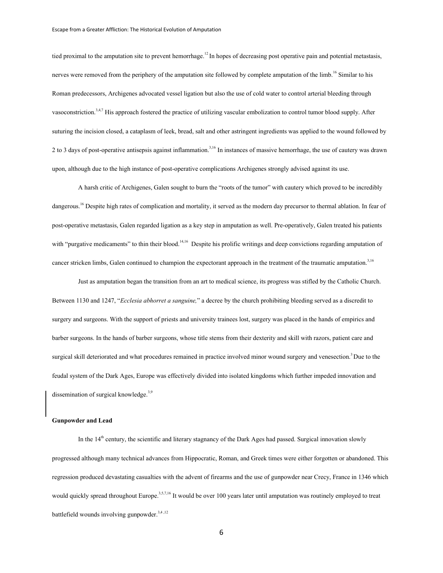tied proximal to the amputation site to prevent hemorrhage.<sup>12</sup> In hopes of decreasing post operative pain and potential metastasis, nerves were removed from the periphery of the amputation site followed by complete amputation of the limb.<sup>16</sup> Similar to his Roman predecessors, Archigenes advocated vessel ligation but also the use of cold water to control arterial bleeding through vasoconstriction.<sup>3,4,7</sup> His approach fostered the practice of utilizing vascular embolization to control tumor blood supply. After suturing the incision closed, a cataplasm of leek, bread, salt and other astringent ingredients was applied to the wound followed by 2 to 3 days of post-operative antisepsis against inflammation.<sup>3,16</sup> In instances of massive hemorrhage, the use of cautery was drawn upon, although due to the high instance of post-operative complications Archigenes strongly advised against its use.

A harsh critic of Archigenes, Galen sought to burn the "roots of the tumor" with cautery which proved to be incredibly dangerous.<sup>16</sup> Despite high rates of complication and mortality, it served as the modern day precursor to thermal ablation. In fear of post-operative metastasis, Galen regarded ligation as a key step in amputation as well. Pre-operatively, Galen treated his patients with "purgative medicaments" to thin their blood.<sup>14,16</sup> Despite his prolific writings and deep convictions regarding amputation of cancer stricken limbs, Galen continued to champion the expectorant approach in the treatment of the traumatic amputation. $3,16$ 

Just as amputation began the transition from an art to medical science, its progress was stifled by the Catholic Church. Between 1130 and 1247, "*Ecclesia abhorret a sanguine,*" a decree by the church prohibiting bleeding served as a discredit to surgery and surgeons. With the support of priests and university trainees lost, surgery was placed in the hands of empirics and barber surgeons. In the hands of barber surgeons, whose title stems from their dexterity and skill with razors, patient care and surgical skill deteriorated and what procedures remained in practice involved minor wound surgery and venesection.<sup>3</sup> Due to the feudal system of the Dark Ages, Europe was effectively divided into isolated kingdoms which further impeded innovation and dissemination of surgical knowledge.<sup>3,9</sup>

#### **Gunpowder and Lead**

In the  $14<sup>th</sup>$  century, the scientific and literary stagnancy of the Dark Ages had passed. Surgical innovation slowly progressed although many technical advances from Hippocratic, Roman, and Greek times were either forgotten or abandoned. This regression produced devastating casualties with the advent of firearms and the use of gunpowder near Crecy, France in 1346 which would quickly spread throughout Europe.<sup>3,5,7,16</sup> It would be over 100 years later until amputation was routinely employed to treat battlefield wounds involving gunpowder. $3,4,12$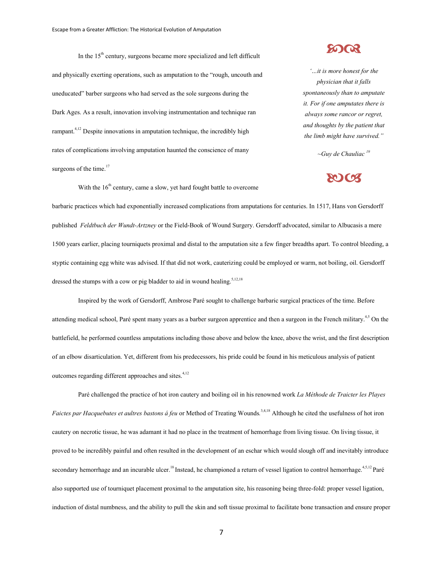In the  $15<sup>th</sup>$  century, surgeons became more specialized and left difficult and physically exerting operations, such as amputation to the "rough, uncouth and uneducated" barber surgeons who had served as the sole surgeons during the Dark Ages. As a result, innovation involving instrumentation and technique ran rampant.<sup>4,12</sup> Despite innovations in amputation technique, the incredibly high rates of complications involving amputation haunted the conscience of many surgeons of the time. $17$ 



*'…it is more honest for the physician that it falls spontaneously than to amputate it. For if one amputates there is always some rancor or regret, and thoughts by the patient that the limb might have survived."*

*~Guy de Chauliac <sup>19</sup>*

# **SOCT**

With the  $16<sup>th</sup>$  century, came a slow, yet hard fought battle to overcome

barbaric practices which had exponentially increased complications from amputations for centuries. In 1517, Hans von Gersdorff published *Feldtbuch der Wundt-Artzney* or the Field-Book of Wound Surgery. Gersdorff advocated, similar to Albucasis a mere 1500 years earlier, placing tourniquets proximal and distal to the amputation site a few finger breadths apart. To control bleeding, a styptic containing egg white was advised. If that did not work, cauterizing could be employed or warm, not boiling, oil. Gersdorff dressed the stumps with a cow or pig bladder to aid in wound healing.<sup>5,12,18</sup>

Inspired by the work of Gersdorff, Ambrose Paré sought to challenge barbaric surgical practices of the time. Before attending medical school, Paré spent many years as a barber surgeon apprentice and then a surgeon in the French military.<sup>4,5</sup> On the battlefield, he performed countless amputations including those above and below the knee, above the wrist, and the first description of an elbow disarticulation. Yet, different from his predecessors, his pride could be found in his meticulous analysis of patient outcomes regarding different approaches and sites. $4,12$ 

Paré challenged the practice of hot iron cautery and boiling oil in his renowned work *La Méthode de Traicter les Playes*  Faictes par Hacquebutes et aultres bastons á feu or Method of Treating Wounds.<sup>3,4,18</sup> Although he cited the usefulness of hot iron cautery on necrotic tissue, he was adamant it had no place in the treatment of hemorrhage from living tissue. On living tissue, it proved to be incredibly painful and often resulted in the development of an eschar which would slough off and inevitably introduce secondary hemorrhage and an incurable ulcer.<sup>18</sup> Instead, he championed a return of vessel ligation to control hemorrhage.<sup>4,5,12</sup> Paré also supported use of tourniquet placement proximal to the amputation site, his reasoning being three-fold: proper vessel ligation, induction of distal numbness, and the ability to pull the skin and soft tissue proximal to facilitate bone transaction and ensure proper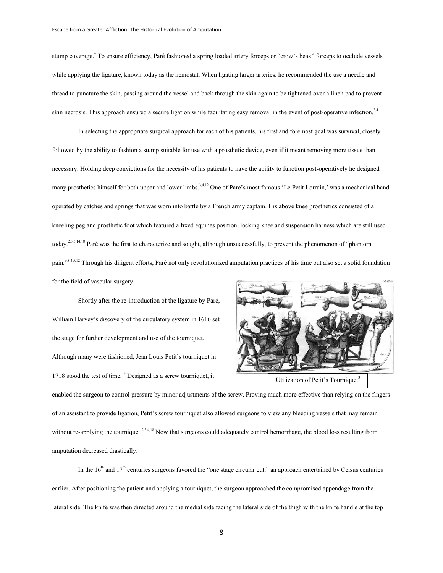stump coverage.<sup>4</sup> To ensure efficiency, Paré fashioned a spring loaded artery forceps or "crow's beak" forceps to occlude vessels while applying the ligature, known today as the hemostat. When ligating larger arteries, he recommended the use a needle and thread to puncture the skin, passing around the vessel and back through the skin again to be tightened over a linen pad to prevent skin necrosis. This approach ensured a secure ligation while facilitating easy removal in the event of post-operative infection.<sup>3,4</sup>

In selecting the appropriate surgical approach for each of his patients, his first and foremost goal was survival, closely followed by the ability to fashion a stump suitable for use with a prosthetic device, even if it meant removing more tissue than necessary. Holding deep convictions for the necessity of his patients to have the ability to function post-operatively he designed many prosthetics himself for both upper and lower limbs.<sup>3,4,12</sup> One of Pare's most famous 'Le Petit Lorrain,' was a mechanical hand operated by catches and springs that was worn into battle by a French army captain. His above knee prosthetics consisted of a kneeling peg and prosthetic foot which featured a fixed equines position, locking knee and suspension harness which are still used today.2,3,5,14,18 Paré was the first to characterize and sought, although unsuccessfully, to prevent the phenomenon of "phantom pain."<sup>3,4,5,12</sup> Through his diligent efforts, Paré not only revolutionized amputation practices of his time but also set a solid foundation for the field of vascular surgery.

Shortly after the re-introduction of the ligature by Paré, William Harvey's discovery of the circulatory system in 1616 set the stage for further development and use of the tourniquet. Although many were fashioned, Jean Louis Petit's tourniquet in 1718 stood the test of time.<sup>18</sup> Designed as a screw tourniquet, it



enabled the surgeon to control pressure by minor adjustments of the screw. Proving much more effective than relying on the fingers of an assistant to provide ligation, Petit's screw tourniquet also allowed surgeons to view any bleeding vessels that may remain without re-applying the tourniquet.<sup>2,3,4,18</sup> Now that surgeons could adequately control hemorrhage, the blood loss resulting from amputation decreased drastically.

In the  $16<sup>th</sup>$  and  $17<sup>th</sup>$  centuries surgeons favored the "one stage circular cut," an approach entertained by Celsus centuries earlier. After positioning the patient and applying a tourniquet, the surgeon approached the compromised appendage from the lateral side. The knife was then directed around the medial side facing the lateral side of the thigh with the knife handle at the top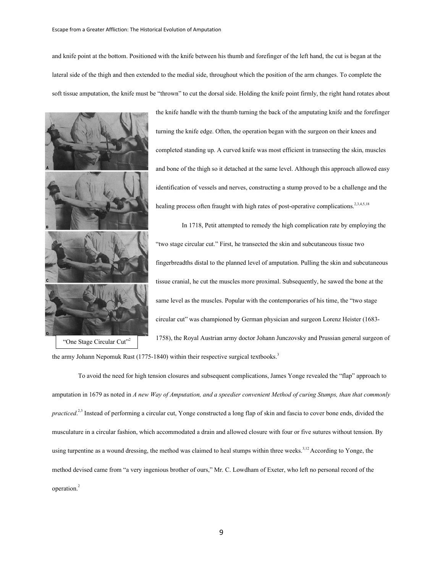and knife point at the bottom. Positioned with the knife between his thumb and forefinger of the left hand, the cut is began at the lateral side of the thigh and then extended to the medial side, throughout which the position of the arm changes. To complete the soft tissue amputation, the knife must be "thrown" to cut the dorsal side. Holding the knife point firmly, the right hand rotates about



the knife handle with the thumb turning the back of the amputating knife and the forefinger turning the knife edge. Often, the operation began with the surgeon on their knees and completed standing up. A curved knife was most efficient in transecting the skin, muscles and bone of the thigh so it detached at the same level. Although this approach allowed easy identification of vessels and nerves, constructing a stump proved to be a challenge and the healing process often fraught with high rates of post-operative complications.<sup>2,3,4,5,18</sup>

In 1718, Petit attempted to remedy the high complication rate by employing the "two stage circular cut." First, he transected the skin and subcutaneous tissue two fingerbreadths distal to the planned level of amputation. Pulling the skin and subcutaneous tissue cranial, he cut the muscles more proximal. Subsequently, he sawed the bone at the same level as the muscles. Popular with the contemporaries of his time, the "two stage circular cut" was championed by German physician and surgeon Lorenz Heister (1683- 1758), the Royal Austrian army doctor Johann Junczovsky and Prussian general surgeon of

the army Johann Nepomuk Rust (1775-1840) within their respective surgical textbooks.<sup>3</sup>

To avoid the need for high tension closures and subsequent complications, James Yonge revealed the "flap" approach to amputation in 1679 as noted in *A new Way of Amputation, and a speedier convenient Method of curing Stumps, than that commonly practiced*.<sup>2,3</sup> Instead of performing a circular cut, Yonge constructed a long flap of skin and fascia to cover bone ends, divided the musculature in a circular fashion, which accommodated a drain and allowed closure with four or five sutures without tension. By using turpentine as a wound dressing, the method was claimed to heal stumps within three weeks. $3,12$  According to Yonge, the method devised came from "a very ingenious brother of ours," Mr. C. Lowdham of Exeter, who left no personal record of the operation.<sup>2</sup>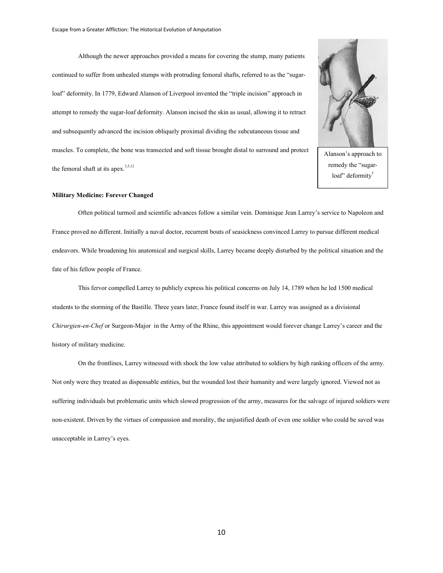Although the newer approaches provided a means for covering the stump, many patients continued to suffer from unhealed stumps with protruding femoral shafts, referred to as the "sugarloaf" deformity. In 1779, Edward Alanson of Liverpool invented the "triple incision" approach in attempt to remedy the sugar-loaf deformity. Alanson incised the skin as usual, allowing it to retract and subsequently advanced the incision obliquely proximal dividing the subcutaneous tissue and muscles. To complete, the bone was transected and soft tissue brought distal to surround and protect the femoral shaft at its apex. $3,5,12$ 



Alanson's approach to remedy the "sugarloaf" deformity<sup>5</sup>

## **Military Medicine: Forever Changed**

Often political turmoil and scientific advances follow a similar vein. Dominique Jean Larrey's service to Napoleon and France proved no different. Initially a naval doctor, recurrent bouts of seasickness convinced Larrey to pursue different medical endeavors. While broadening his anatomical and surgical skills, Larrey became deeply disturbed by the political situation and the fate of his fellow people of France.

This fervor compelled Larrey to publicly express his political concerns on July 14, 1789 when he led 1500 medical students to the storming of the Bastille. Three years later, France found itself in war. Larrey was assigned as a divisional *Chirurgien-en-Chef* or Surgeon-Major in the Army of the Rhine, this appointment would forever change Larrey's career and the history of military medicine.

On the frontlines, Larrey witnessed with shock the low value attributed to soldiers by high ranking officers of the army. Not only were they treated as dispensable entities, but the wounded lost their humanity and were largely ignored. Viewed not as suffering individuals but problematic units which slowed progression of the army, measures for the salvage of injured soldiers were non-existent. Driven by the virtues of compassion and morality, the unjustified death of even one soldier who could be saved was unacceptable in Larrey's eyes.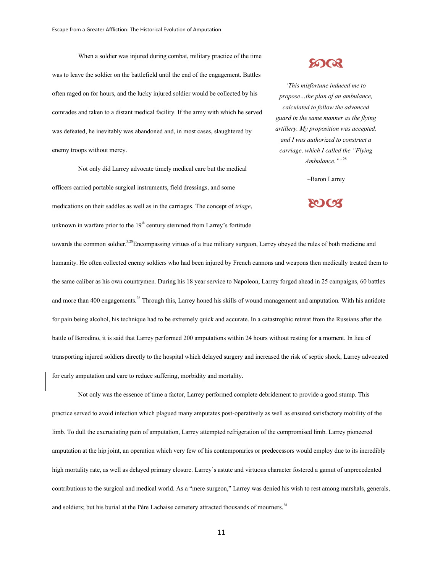When a soldier was injured during combat, military practice of the time was to leave the soldier on the battlefield until the end of the engagement. Battles often raged on for hours, and the lucky injured soldier would be collected by his comrades and taken to a distant medical facility. If the army with which he served was defeated, he inevitably was abandoned and, in most cases, slaughtered by enemy troops without mercy.

Not only did Larrey advocate timely medical care but the medical officers carried portable surgical instruments, field dressings, and some medications on their saddles as well as in the carriages. The concept of *triage*, unknown in warfare prior to the  $19<sup>th</sup>$  century stemmed from Larrey's fortitude

# **SOOR**

*'This misfortune induced me to propose…the plan of an ambulance, calculated to follow the advanced guard in the same manner as the flying artillery. My proposition was accepted, and I was authorized to construct a carriage, which I called the "Flying Ambulance."'* <sup>28</sup>

~Baron Larrey

## **20163**

towards the common soldier.<sup>3,28</sup>Encompassing virtues of a true military surgeon, Larrey obeyed the rules of both medicine and humanity. He often collected enemy soldiers who had been injured by French cannons and weapons then medically treated them to the same caliber as his own countrymen. During his 18 year service to Napoleon, Larrey forged ahead in 25 campaigns, 60 battles and more than 400 engagements.<sup>28</sup> Through this, Larrey honed his skills of wound management and amputation. With his antidote for pain being alcohol, his technique had to be extremely quick and accurate. In a catastrophic retreat from the Russians after the battle of Borodino, it is said that Larrey performed 200 amputations within 24 hours without resting for a moment. In lieu of transporting injured soldiers directly to the hospital which delayed surgery and increased the risk of septic shock, Larrey advocated for early amputation and care to reduce suffering, morbidity and mortality.

Not only was the essence of time a factor, Larrey performed complete debridement to provide a good stump. This practice served to avoid infection which plagued many amputates post-operatively as well as ensured satisfactory mobility of the limb. To dull the excruciating pain of amputation, Larrey attempted refrigeration of the compromised limb. Larrey pioneered amputation at the hip joint, an operation which very few of his contemporaries or predecessors would employ due to its incredibly high mortality rate, as well as delayed primary closure. Larrey's astute and virtuous character fostered a gamut of unprecedented contributions to the surgical and medical world. As a "mere surgeon," Larrey was denied his wish to rest among marshals, generals, and soldiers; but his burial at the Pére Lachaise cemetery attracted thousands of mourners.<sup>28</sup>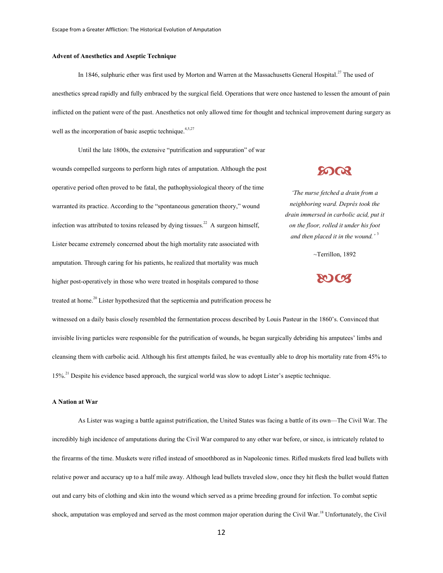## **Advent of Anesthetics and Aseptic Technique**

In 1846, sulphuric ether was first used by Morton and Warren at the Massachusetts General Hospital.<sup>27</sup> The used of anesthetics spread rapidly and fully embraced by the surgical field. Operations that were once hastened to lessen the amount of pain inflicted on the patient were of the past. Anesthetics not only allowed time for thought and technical improvement during surgery as well as the incorporation of basic aseptic technique.<sup>4,5,27</sup>

Until the late 1800s, the extensive "putrification and suppuration" of war wounds compelled surgeons to perform high rates of amputation. Although the post operative period often proved to be fatal, the pathophysiological theory of the time warranted its practice. According to the "spontaneous generation theory," wound infection was attributed to toxins released by dying tissues.<sup>22</sup> A surgeon himself, Lister became extremely concerned about the high mortality rate associated with amputation. Through caring for his patients, he realized that mortality was much higher post-operatively in those who were treated in hospitals compared to those treated at home.<sup>20</sup> Lister hypothesized that the septicemia and putrification process he

# **50 QR**

*'The nurse fetched a drain from a neighboring ward. Deprés took the drain immersed in carbolic acid, put it on the floor, rolled it under his foot and then placed it in the wound.'* <sup>3</sup>

~Terrillon, 1892



witnessed on a daily basis closely resembled the fermentation process described by Louis Pasteur in the 1860's. Convinced that invisible living particles were responsible for the putrification of wounds, he began surgically debriding his amputees' limbs and cleansing them with carbolic acid. Although his first attempts failed, he was eventually able to drop his mortality rate from 45% to 15%.21 Despite his evidence based approach, the surgical world was slow to adopt Lister's aseptic technique.

## **A Nation at War**

As Lister was waging a battle against putrification, the United States was facing a battle of its own—The Civil War. The incredibly high incidence of amputations during the Civil War compared to any other war before, or since, is intricately related to the firearms of the time. Muskets were rifled instead of smoothbored as in Napoleonic times. Rifled muskets fired lead bullets with relative power and accuracy up to a half mile away. Although lead bullets traveled slow, once they hit flesh the bullet would flatten out and carry bits of clothing and skin into the wound which served as a prime breeding ground for infection. To combat septic shock, amputation was employed and served as the most common major operation during the Civil War.<sup>18</sup> Unfortunately, the Civil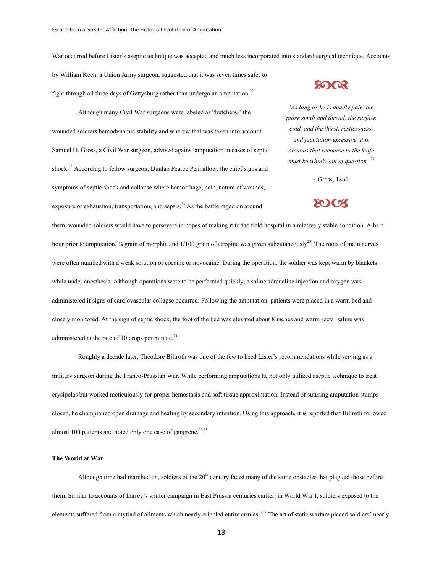War occurred before Lister's aseptic technique was accepted and much less incorporated into standard surgical technique. Accounts

by William Keen, a Union Army surgeon, suggested that it was seven times safer to fight through all three days of Gettysburg rather than undergo an amputation.<sup>22</sup>

Although many Civil War surgeons were labeled as "butchers," the wounded soldiers hemodynamic stability and wherewithal was taken into account. Samuel D. Gross, a Civil War surgeon, advised against amputation in cases of septic shock.<sup>23</sup> According to fellow surgeon, Dunlap Pearce Penhallow, the chief signs and symptoms of septic shock and collapse where hemorrhage, pain, nature of wounds, exposure or exhaustion, transportation, and sepsis.<sup>24</sup> As the battle raged on around

**SO QR** 

*'As long as he is deadly pale, the pulse small and thread, the surface cold, and the thirst, restlessness, and jactitation excessive, it is obvious that recourse to the knife must be wholly out of question.'*<sup>23</sup>

 $~\sim$ Gross, 1861

**20103** 

them, wounded soldiers would have to persevere in hopes of making it to the field hospital in a relatively stable condition. A half hour prior to amputation,  $\frac{1}{4}$  grain of morphia and  $\frac{1}{100}$  grain of atropine was given subcutaneously<sup>23</sup>. The roots of main nerves were often numbed with a weak solution of cocaine or novocaine. During the operation, the soldier was kept warm by blankets while under anesthesia. Although operations were to be performed quickly, a saline adrenaline injection and oxygen was administered if signs of cardiovascular collapse occurred. Following the amputation, patients were placed in a warm bed and closely monitored. At the sign of septic shock, the foot of the bed was elevated about 8 inches and warm rectal saline was administered at the rate of 10 drops per minute. $^{24}$ 

Roughly a decade later, Theodore Billroth was one of the few to heed Lister's recommendations while serving as a military surgeon during the Franco-Prussian War. While performing amputations he not only utilized aseptic technique to treat erysipelas but worked meticulously for proper hemostasis and soft tissue approximation. Instead of suturing amputation stumps closed, he championed open drainage and healing by secondary intention. Using this approach, it is reported that Billroth followed almost 100 patients and noted only one case of gangrene.<sup>22,25</sup>

## **The World at War**

Although time had marched on, soldiers of the  $20<sup>th</sup>$  century faced many of the same obstacles that plagued those before them. Similar to accounts of Larrey's winter campaign in East Prussia centuries earlier, in World War I, soldiers exposed to the elements suffered from a myriad of ailments which nearly crippled entire armies.<sup>3,28</sup> The art of static warfare placed soldiers' nearly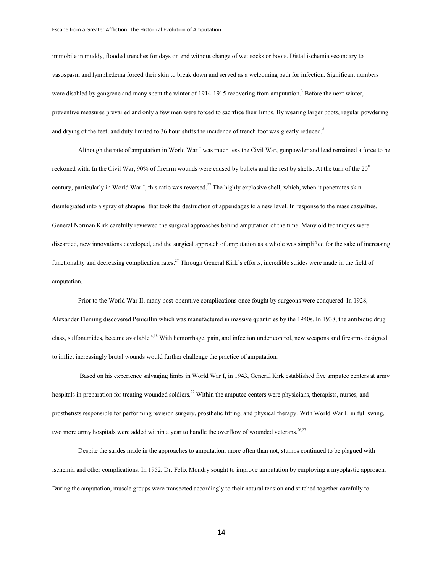immobile in muddy, flooded trenches for days on end without change of wet socks or boots. Distal ischemia secondary to vasospasm and lymphedema forced their skin to break down and served as a welcoming path for infection. Significant numbers were disabled by gangrene and many spent the winter of 1914-1915 recovering from amputation.<sup>3</sup> Before the next winter, preventive measures prevailed and only a few men were forced to sacrifice their limbs. By wearing larger boots, regular powdering and drying of the feet, and duty limited to 36 hour shifts the incidence of trench foot was greatly reduced.<sup>3</sup>

Although the rate of amputation in World War I was much less the Civil War, gunpowder and lead remained a force to be reckoned with. In the Civil War, 90% of firearm wounds were caused by bullets and the rest by shells. At the turn of the  $20<sup>th</sup>$ century, particularly in World War I, this ratio was reversed.<sup>27</sup> The highly explosive shell, which, when it penetrates skin disintegrated into a spray of shrapnel that took the destruction of appendages to a new level. In response to the mass casualties, General Norman Kirk carefully reviewed the surgical approaches behind amputation of the time. Many old techniques were discarded, new innovations developed, and the surgical approach of amputation as a whole was simplified for the sake of increasing functionality and decreasing complication rates.<sup>27</sup> Through General Kirk's efforts, incredible strides were made in the field of amputation.

Prior to the World War II, many post-operative complications once fought by surgeons were conquered. In 1928, Alexander Fleming discovered Penicillin which was manufactured in massive quantities by the 1940s. In 1938, the antibiotic drug class, sulfonamides, became available.<sup>4,18</sup> With hemorrhage, pain, and infection under control, new weapons and firearms designed to inflict increasingly brutal wounds would further challenge the practice of amputation.

Based on his experience salvaging limbs in World War I, in 1943, General Kirk established five amputee centers at army hospitals in preparation for treating wounded soldiers.<sup>27</sup> Within the amputee centers were physicians, therapists, nurses, and prosthetists responsible for performing revision surgery, prosthetic fitting, and physical therapy. With World War II in full swing, two more army hospitals were added within a year to handle the overflow of wounded veterans.<sup>26,27</sup>

Despite the strides made in the approaches to amputation, more often than not, stumps continued to be plagued with ischemia and other complications. In 1952, Dr. Felix Mondry sought to improve amputation by employing a myoplastic approach. During the amputation, muscle groups were transected accordingly to their natural tension and stitched together carefully to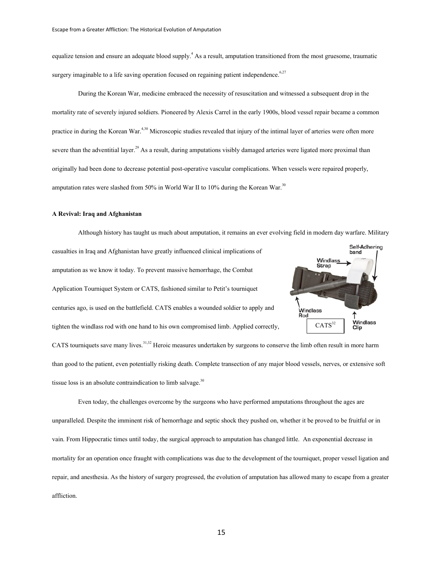equalize tension and ensure an adequate blood supply.<sup>4</sup> As a result, amputation transitioned from the most gruesome, traumatic surgery imaginable to a life saving operation focused on regaining patient independence. $627$ 

During the Korean War, medicine embraced the necessity of resuscitation and witnessed a subsequent drop in the mortality rate of severely injured soldiers. Pioneered by Alexis Carrel in the early 1900s, blood vessel repair became a common practice in during the Korean War.<sup>4,30</sup> Microscopic studies revealed that injury of the intimal layer of arteries were often more severe than the adventitial layer.<sup>29</sup> As a result, during amputations visibly damaged arteries were ligated more proximal than originally had been done to decrease potential post-operative vascular complications. When vessels were repaired properly, amputation rates were slashed from 50% in World War II to 10% during the Korean War. $30$ 

## **A Revival: Iraq and Afghanistan**

Although history has taught us much about amputation, it remains an ever evolving field in modern day warfare. Military **Self-Adhering** casualties in Iraq and Afghanistan have greatly influenced clinical implications of band Windlass **Strap** amputation as we know it today. To prevent massive hemorrhage, the Combat Application Tourniquet System or CATS, fashioned similar to Petit's tourniquet centuries ago, is used on the battlefield. CATS enables a wounded soldier to apply and .<br>Windlass Rod Windlass<br>Clip  $CATS^{32}$ tighten the windlass rod with one hand to his own compromised limb. Applied correctly, CATS tourniquets save many lives.<sup>31,32</sup> Heroic measures undertaken by surgeons to conserve the limb often result in more harm than good to the patient, even potentially risking death. Complete transection of any major blood vessels, nerves, or extensive soft tissue loss is an absolute contraindication to limb salvage. $30$ 

Even today, the challenges overcome by the surgeons who have performed amputations throughout the ages are unparalleled. Despite the imminent risk of hemorrhage and septic shock they pushed on, whether it be proved to be fruitful or in vain. From Hippocratic times until today, the surgical approach to amputation has changed little. An exponential decrease in mortality for an operation once fraught with complications was due to the development of the tourniquet, proper vessel ligation and repair, and anesthesia. As the history of surgery progressed, the evolution of amputation has allowed many to escape from a greater affliction.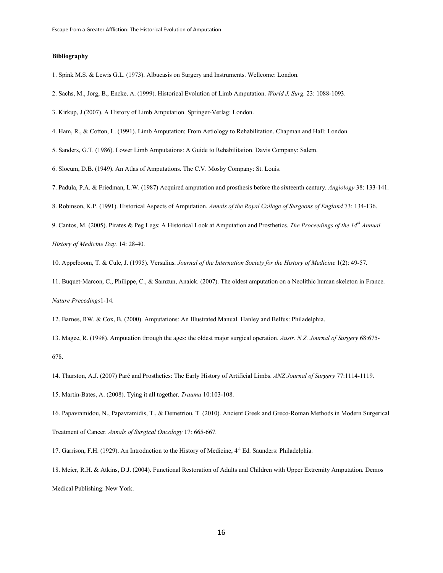## **Bibliography**

- 1. Spink M.S. & Lewis G.L. (1973). Albucasis on Surgery and Instruments. Wellcome: London.
- 2. Sachs, M., Jorg, B., Encke, A. (1999). Historical Evolution of Limb Amputation. *World J. Surg.* 23: 1088-1093.
- 3. Kirkup, J.(2007). A History of Limb Amputation. Springer-Verlag: London.
- 4. Ham, R., & Cotton, L. (1991). Limb Amputation: From Aetiology to Rehabilitation. Chapman and Hall: London.
- 5. Sanders, G.T. (1986). Lower Limb Amputations: A Guide to Rehabilitation. Davis Company: Salem.
- 6. Slocum, D.B. (1949). An Atlas of Amputations. The C.V. Mosby Company: St. Louis.
- 7. Padula, P.A. & Friedman, L.W. (1987) Acquired amputation and prosthesis before the sixteenth century. *Angiology* 38: 133-141.
- 8. Robinson, K.P. (1991). Historical Aspects of Amputation. *Annals of the Royal College of Surgeons of England* 73: 134-136.
- 9. Cantos, M. (2005). Pirates & Peg Legs: A Historical Look at Amputation and Prosthetics. *The Proceedings of the 14th Annual*

*History of Medicine Day.* 14: 28-40.

- 10. Appelboom, T. & Cule, J. (1995). Versalius. *Journal of the Internation Society for the History of Medicine* 1(2): 49-57.
- 11. Buquet-Marcon, C., Philippe, C., & Samzun, Anaick. (2007). The oldest amputation on a Neolithic human skeleton in France. *Nature Precedings*1-14.
- 12. Barnes, RW. & Cox, B. (2000). Amputations: An Illustrated Manual. Hanley and Belfus: Philadelphia.
- 13. Magee, R. (1998). Amputation through the ages: the oldest major surgical operation. *Austr. N.Z. Journal of Surgery* 68:675- 678.
- 14. Thurston, A.J. (2007) Paré and Prosthetics: The Early History of Artificial Limbs. *ANZ Journal of Surgery* 77:1114-1119.
- 15. Martin-Bates, A. (2008). Tying it all together. *Trauma* 10:103-108.
- 16. Papavramidou, N., Papavramidis, T., & Demetriou, T. (2010). Ancient Greek and Greco-Roman Methods in Modern Surgerical Treatment of Cancer. *Annals of Surgical Oncology* 17: 665-667.
- 17. Garrison, F.H. (1929). An Introduction to the History of Medicine, 4<sup>th</sup> Ed. Saunders: Philadelphia.
- 18. Meier, R.H. & Atkins, D.J. (2004). Functional Restoration of Adults and Children with Upper Extremity Amputation. Demos Medical Publishing: New York.